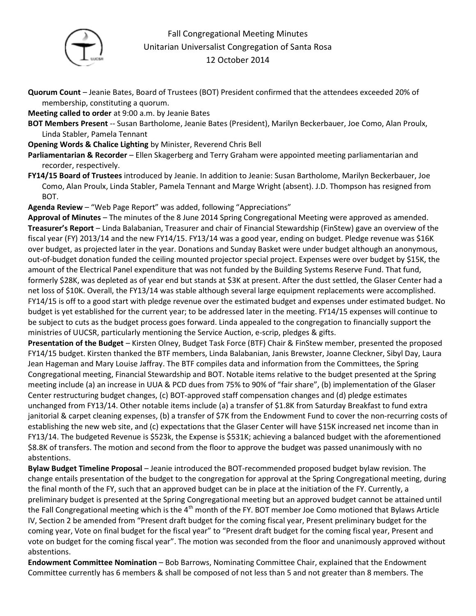

## Fall Congregational Meeting Minutes Unitarian Universalist Congregation of Santa Rosa 12 October 2014

- **Quorum Count** Jeanie Bates, Board of Trustees (BOT) President confirmed that the attendees exceeded 20% of membership, constituting a quorum.
- **Meeting called to order** at 9:00 a.m. by Jeanie Bates
- **BOT Members Present** -- Susan Bartholome, Jeanie Bates (President), Marilyn Beckerbauer, Joe Como, Alan Proulx, Linda Stabler, Pamela Tennant
- **Opening Words & Chalice Lighting** by Minister, Reverend Chris Bell
- **Parliamentarian & Recorder**  Ellen Skagerberg and Terry Graham were appointed meeting parliamentarian and recorder, respectively.
- **FY14/15 Board of Trustees** introduced by Jeanie. In addition to Jeanie: Susan Bartholome, Marilyn Beckerbauer, Joe Como, Alan Proulx, Linda Stabler, Pamela Tennant and Marge Wright (absent). J.D. Thompson has resigned from BOT.

**Agenda Review** – "Web Page Report" was added, following "Appreciations"

**Approval of Minutes** – The minutes of the 8 June 2014 Spring Congregational Meeting were approved as amended. **Treasurer's Report** – Linda Balabanian, Treasurer and chair of Financial Stewardship (FinStew) gave an overview of the fiscal year (FY) 2013/14 and the new FY14/15. FY13/14 was a good year, ending on budget. Pledge revenue was \$16K over budget, as projected later in the year. Donations and Sunday Basket were under budget although an anonymous, out-of-budget donation funded the ceiling mounted projector special project. Expenses were over budget by \$15K, the amount of the Electrical Panel expenditure that was not funded by the Building Systems Reserve Fund. That fund, formerly \$28K, was depleted as of year end but stands at \$3K at present. After the dust settled, the Glaser Center had a net loss of \$10K. Overall, the FY13/14 was stable although several large equipment replacements were accomplished. FY14/15 is off to a good start with pledge revenue over the estimated budget and expenses under estimated budget. No budget is yet established for the current year; to be addressed later in the meeting. FY14/15 expenses will continue to be subject to cuts as the budget process goes forward. Linda appealed to the congregation to financially support the ministries of UUCSR, particularly mentioning the Service Auction, e-scrip, pledges & gifts.

**Presentation of the Budget** – Kirsten Olney, Budget Task Force (BTF) Chair & FinStew member, presented the proposed FY14/15 budget. Kirsten thanked the BTF members, Linda Balabanian, Janis Brewster, Joanne Cleckner, Sibyl Day, Laura Jean Hageman and Mary Louise Jaffray. The BTF compiles data and information from the Committees, the Spring Congregational meeting, Financial Stewardship and BOT. Notable items relative to the budget presented at the Spring meeting include (a) an increase in UUA & PCD dues from 75% to 90% of "fair share", (b) implementation of the Glaser Center restructuring budget changes, (c) BOT-approved staff compensation changes and (d) pledge estimates unchanged from FY13/14. Other notable items include (a) a transfer of \$1.8K from Saturday Breakfast to fund extra janitorial & carpet cleaning expenses, (b) a transfer of \$7K from the Endowment Fund to cover the non-recurring costs of establishing the new web site, and (c) expectations that the Glaser Center will have \$15K increased net income than in FY13/14. The budgeted Revenue is \$523k, the Expense is \$531K; achieving a balanced budget with the aforementioned \$8.8K of transfers. The motion and second from the floor to approve the budget was passed unanimously with no abstentions.

**Bylaw Budget Timeline Proposal** – Jeanie introduced the BOT-recommended proposed budget bylaw revision. The change entails presentation of the budget to the congregation for approval at the Spring Congregational meeting, during the final month of the FY, such that an approved budget can be in place at the initiation of the FY. Currently, a preliminary budget is presented at the Spring Congregational meeting but an approved budget cannot be attained until the Fall Congregational meeting which is the 4<sup>th</sup> month of the FY. BOT member Joe Como motioned that Bylaws Article IV, Section 2 be amended from "Present draft budget for the coming fiscal year, Present preliminary budget for the coming year, Vote on final budget for the fiscal year" to "Present draft budget for the coming fiscal year, Present and vote on budget for the coming fiscal year". The motion was seconded from the floor and unanimously approved without abstentions.

**Endowment Committee Nomination** – Bob Barrows, Nominating Committee Chair, explained that the Endowment Committee currently has 6 members & shall be composed of not less than 5 and not greater than 8 members. The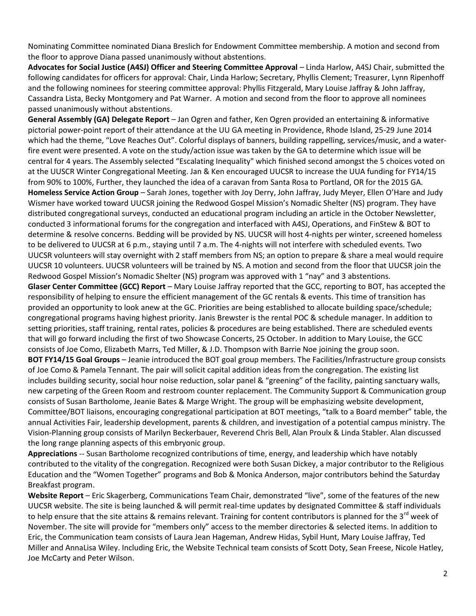Nominating Committee nominated Diana Breslich for Endowment Committee membership. A motion and second from the floor to approve Diana passed unanimously without abstentions.

**Advocates for Social Justice (A4SJ) Officer and Steering Committee Approval** – Linda Harlow, A4SJ Chair, submitted the following candidates for officers for approval: Chair, Linda Harlow; Secretary, Phyllis Clement; Treasurer, Lynn Ripenhoff and the following nominees for steering committee approval: Phyllis Fitzgerald, Mary Louise Jaffray & John Jaffray, Cassandra Lista, Becky Montgomery and Pat Warner. A motion and second from the floor to approve all nominees passed unanimously without abstentions.

**General Assembly (GA) Delegate Report** – Jan Ogren and father, Ken Ogren provided an entertaining & informative pictorial power-point report of their attendance at the UU GA meeting in Providence, Rhode Island, 25-29 June 2014 which had the theme, "Love Reaches Out". Colorful displays of banners, building rappelling, services/music, and a waterfire event were presented. A vote on the study/action issue was taken by the GA to determine which issue will be central for 4 years. The Assembly selected "Escalating Inequality" which finished second amongst the 5 choices voted on at the UUSCR Winter Congregational Meeting. Jan & Ken encouraged UUCSR to increase the UUA funding for FY14/15 from 90% to 100%, Further, they launched the idea of a caravan from Santa Rosa to Portland, OR for the 2015 GA. **Homeless Service Action Group** – Sarah Jones, together with Joy Derry, John Jaffray, Judy Meyer, Ellen O'Hare and Judy Wismer have worked toward UUCSR joining the Redwood Gospel Mission's Nomadic Shelter (NS) program. They have distributed congregational surveys, conducted an educational program including an article in the October Newsletter, conducted 3 informational forums for the congregation and interfaced with A4SJ, Operations, and FinStew & BOT to determine & resolve concerns. Bedding will be provided by NS. UUCSR will host 4-nights per winter, screened homeless to be delivered to UUCSR at 6 p.m., staying until 7 a.m. The 4-nights will not interfere with scheduled events. Two UUCSR volunteers will stay overnight with 2 staff members from NS; an option to prepare & share a meal would require UUCSR 10 volunteers. UUCSR volunteers will be trained by NS. A motion and second from the floor that UUCSR join the Redwood Gospel Mission's Nomadic Shelter (NS) program was approved with 1 "nay" and 3 abstentions.

**Glaser Center Committee (GCC) Report** – Mary Louise Jaffray reported that the GCC, reporting to BOT, has accepted the responsibility of helping to ensure the efficient management of the GC rentals & events. This time of transition has provided an opportunity to look anew at the GC. Priorities are being established to allocate building space/schedule; congregational programs having highest priority. Janis Brewster is the rental POC & schedule manager. In addition to setting priorities, staff training, rental rates, policies & procedures are being established. There are scheduled events that will go forward including the first of two Showcase Concerts, 25 October. In addition to Mary Louise, the GCC consists of Joe Como, Elizabeth Marrs, Ted Miller, & J.D. Thompson with Barrie Noe joining the group soon.

**BOT FY14/15 Goal Groups** – Jeanie introduced the BOT goal group members. The Facilities/Infrastructure group consists of Joe Como & Pamela Tennant. The pair will solicit capital addition ideas from the congregation. The existing list includes building security, social hour noise reduction, solar panel & "greening" of the facility, painting sanctuary walls, new carpeting of the Green Room and restroom counter replacement. The Community Support & Communication group consists of Susan Bartholome, Jeanie Bates & Marge Wright. The group will be emphasizing website development, Committee/BOT liaisons, encouraging congregational participation at BOT meetings, "talk to a Board member" table, the annual Activities Fair, leadership development, parents & children, and investigation of a potential campus ministry. The Vision-Planning group consists of Marilyn Beckerbauer, Reverend Chris Bell, Alan Proulx & Linda Stabler. Alan discussed the long range planning aspects of this embryonic group.

**Appreciations** -- Susan Bartholome recognized contributions of time, energy, and leadership which have notably contributed to the vitality of the congregation. Recognized were both Susan Dickey, a major contributor to the Religious Education and the "Women Together" programs and Bob & Monica Anderson, major contributors behind the Saturday Breakfast program.

**Website Report** – Eric Skagerberg, Communications Team Chair, demonstrated "live", some of the features of the new UUCSR website. The site is being launched & will permit real-time updates by designated Committee & staff individuals to help ensure that the site attains & remains relevant. Training for content contributors is planned for the  $3^{rd}$  week of November. The site will provide for "members only" access to the member directories & selected items. In addition to Eric, the Communication team consists of Laura Jean Hageman, Andrew Hidas, Sybil Hunt, Mary Louise Jaffray, Ted Miller and AnnaLisa Wiley. Including Eric, the Website Technical team consists of Scott Doty, Sean Freese, Nicole Hatley, Joe McCarty and Peter Wilson.